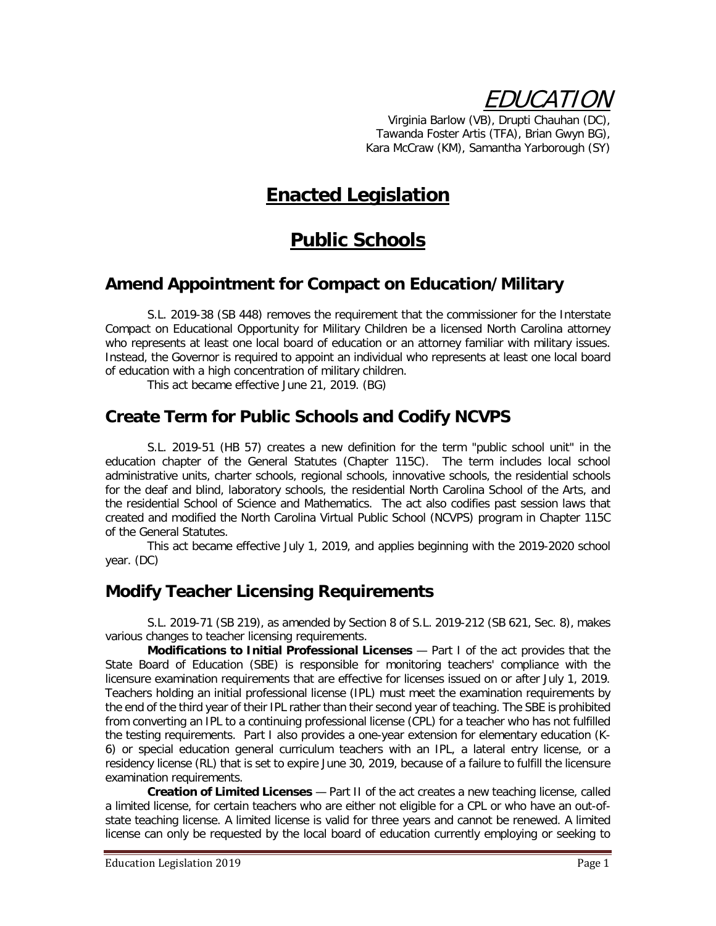EDUCATION

Virginia Barlow (VB), Drupti Chauhan (DC), Tawanda Foster Artis (TFA), Brian Gwyn BG), Kara McCraw (KM), Samantha Yarborough (SY)

# **Enacted Legislation**

# **Public Schools**

#### **Amend Appointment for Compact on Education/Military**

S.L. 2019-38 (SB 448) removes the requirement that the commissioner for the Interstate Compact on Educational Opportunity for Military Children be a licensed North Carolina attorney who represents at least one local board of education or an attorney familiar with military issues. Instead, the Governor is required to appoint an individual who represents at least one local board of education with a high concentration of military children.

This act became effective June 21, 2019. (BG)

#### **Create Term for Public Schools and Codify NCVPS**

S.L. 2019-51 (HB 57) creates a new definition for the term "public school unit" in the education chapter of the General Statutes (Chapter 115C). The term includes local school administrative units, charter schools, regional schools, innovative schools, the residential schools for the deaf and blind, laboratory schools, the residential North Carolina School of the Arts, and the residential School of Science and Mathematics. The act also codifies past session laws that created and modified the North Carolina Virtual Public School (NCVPS) program in Chapter 115C of the General Statutes.

This act became effective July 1, 2019, and applies beginning with the 2019-2020 school year. (DC)

### **Modify Teacher Licensing Requirements**

S.L. 2019-71 (SB 219), as amended by Section 8 of S.L. 2019-212 (SB 621, Sec. 8), makes various changes to teacher licensing requirements.

**Modifications to Initial Professional Licenses** — Part I of the act provides that the State Board of Education (SBE) is responsible for monitoring teachers' compliance with the licensure examination requirements that are effective for licenses issued on or after July 1, 2019. Teachers holding an initial professional license (IPL) must meet the examination requirements by the end of the third year of their IPL rather than their second year of teaching. The SBE is prohibited from converting an IPL to a continuing professional license (CPL) for a teacher who has not fulfilled the testing requirements. Part I also provides a one-year extension for elementary education (K-6) or special education general curriculum teachers with an IPL, a lateral entry license, or a residency license (RL) that is set to expire June 30, 2019, because of a failure to fulfill the licensure examination requirements.

**Creation of Limited Licenses** — Part II of the act creates a new teaching license, called a limited license, for certain teachers who are either not eligible for a CPL or who have an out-ofstate teaching license. A limited license is valid for three years and cannot be renewed. A limited license can only be requested by the local board of education currently employing or seeking to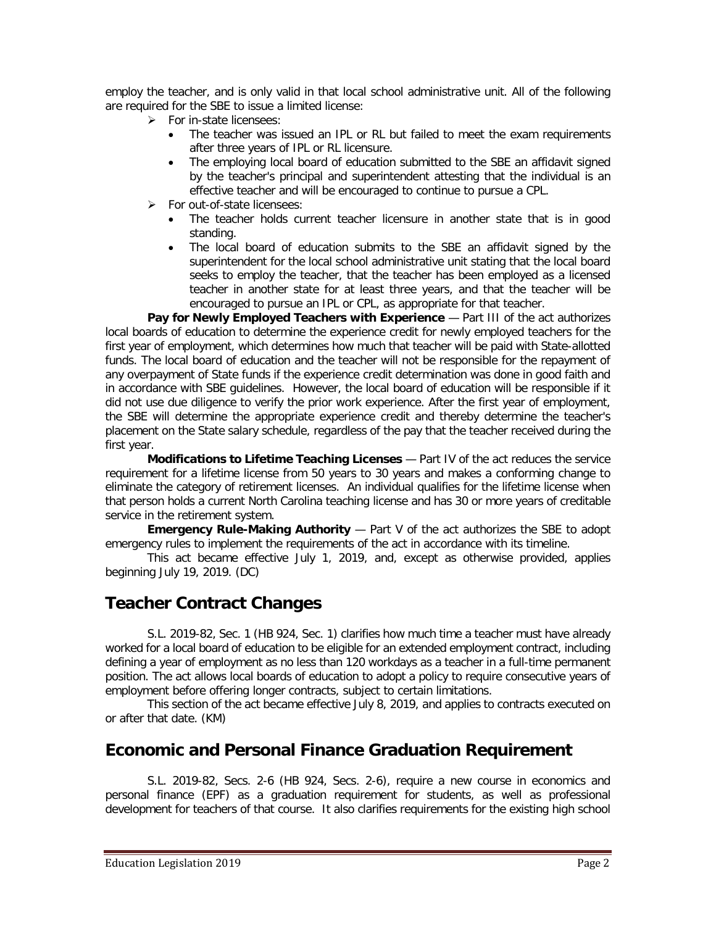employ the teacher, and is only valid in that local school administrative unit. All of the following are required for the SBE to issue a limited license:

- $\triangleright$  For in-state licensees:
	- The teacher was issued an IPL or RL but failed to meet the exam requirements after three years of IPL or RL licensure.
	- The employing local board of education submitted to the SBE an affidavit signed by the teacher's principal and superintendent attesting that the individual is an effective teacher and will be encouraged to continue to pursue a CPL.
- > For out-of-state licensees:
	- The teacher holds current teacher licensure in another state that is in good standing.
	- The local board of education submits to the SBE an affidavit signed by the superintendent for the local school administrative unit stating that the local board seeks to employ the teacher, that the teacher has been employed as a licensed teacher in another state for at least three years, and that the teacher will be encouraged to pursue an IPL or CPL, as appropriate for that teacher.

**Pay for Newly Employed Teachers with Experience** – Part III of the act authorizes local boards of education to determine the experience credit for newly employed teachers for the first year of employment, which determines how much that teacher will be paid with State-allotted funds. The local board of education and the teacher will not be responsible for the repayment of any overpayment of State funds if the experience credit determination was done in good faith and in accordance with SBE guidelines. However, the local board of education will be responsible if it did not use due diligence to verify the prior work experience. After the first year of employment, the SBE will determine the appropriate experience credit and thereby determine the teacher's placement on the State salary schedule, regardless of the pay that the teacher received during the first year.

**Modifications to Lifetime Teaching Licenses** — Part IV of the act reduces the service requirement for a lifetime license from 50 years to 30 years and makes a conforming change to eliminate the category of retirement licenses. An individual qualifies for the lifetime license when that person holds a current North Carolina teaching license and has 30 or more years of creditable service in the retirement system.

**Emergency Rule-Making Authority** - Part V of the act authorizes the SBE to adopt emergency rules to implement the requirements of the act in accordance with its timeline.

This act became effective July 1, 2019, and, except as otherwise provided, applies beginning July 19, 2019. (DC)

## **Teacher Contract Changes**

S.L. 2019-82, Sec. 1 (HB 924, Sec. 1) clarifies how much time a teacher must have already worked for a local board of education to be eligible for an extended employment contract, including defining a year of employment as no less than 120 workdays as a teacher in a full-time permanent position. The act allows local boards of education to adopt a policy to require consecutive years of employment before offering longer contracts, subject to certain limitations.

This section of the act became effective July 8, 2019, and applies to contracts executed on or after that date. (KM)

### **Economic and Personal Finance Graduation Requirement**

S.L. 2019-82, Secs. 2-6 (HB 924, Secs. 2-6), require a new course in economics and personal finance (EPF) as a graduation requirement for students, as well as professional development for teachers of that course. It also clarifies requirements for the existing high school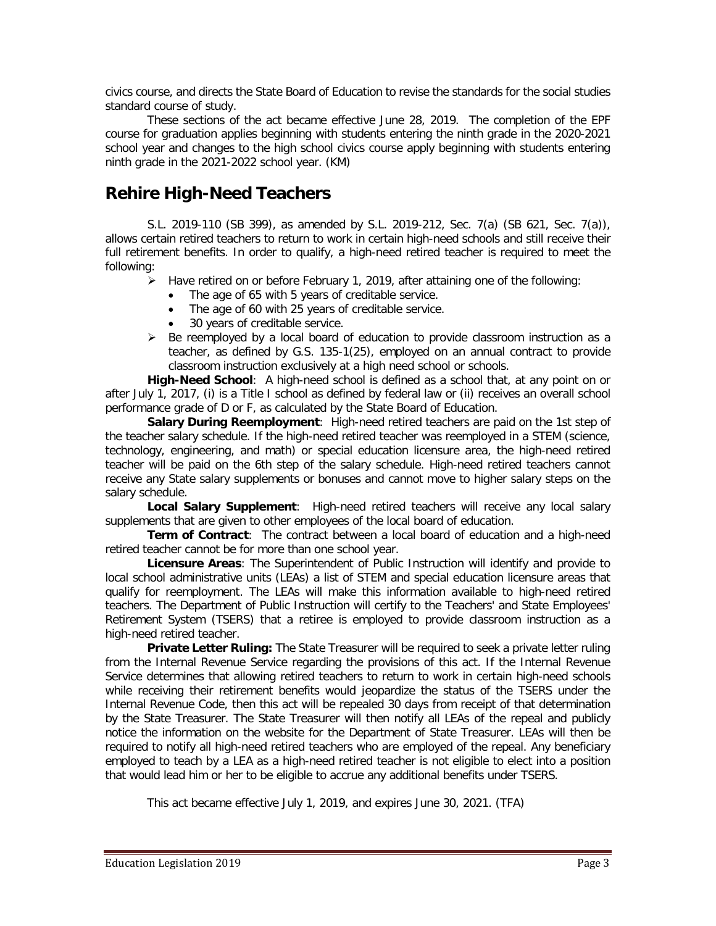civics course, and directs the State Board of Education to revise the standards for the social studies standard course of study.

These sections of the act became effective June 28, 2019. The completion of the EPF course for graduation applies beginning with students entering the ninth grade in the 2020-2021 school year and changes to the high school civics course apply beginning with students entering ninth grade in the 2021-2022 school year. (KM)

## **Rehire High-Need Teachers**

S.L. 2019-110 (SB 399), as amended by S.L. 2019-212, Sec. 7(a) (SB 621, Sec. 7(a)), allows certain retired teachers to return to work in certain high-need schools and still receive their full retirement benefits. In order to qualify, a high-need retired teacher is required to meet the following:

- $\blacktriangleright$  Have retired on or before February 1, 2019, after attaining one of the following:
	- The age of 65 with 5 years of creditable service.
	- The age of 60 with 25 years of creditable service.<br>• 30 years of creditable service.
	- 30 years of creditable service.
- $\triangleright$  Be reemployed by a local board of education to provide classroom instruction as a teacher, as defined by G.S. 135-1(25), employed on an annual contract to provide classroom instruction exclusively at a high need school or schools.

**High-Need School**: A high-need school is defined as a school that, at any point on or after July 1, 2017, (i) is a Title I school as defined by federal law or (ii) receives an overall school performance grade of D or F, as calculated by the State Board of Education.

**Salary During Reemployment**: High-need retired teachers are paid on the 1st step of the teacher salary schedule. If the high-need retired teacher was reemployed in a STEM (science, technology, engineering, and math) or special education licensure area, the high-need retired teacher will be paid on the 6th step of the salary schedule. High-need retired teachers cannot receive any State salary supplements or bonuses and cannot move to higher salary steps on the salary schedule.

**Local Salary Supplement**: High-need retired teachers will receive any local salary supplements that are given to other employees of the local board of education.

**Term of Contract**: The contract between a local board of education and a high-need retired teacher cannot be for more than one school year.

**Licensure Areas**: The Superintendent of Public Instruction will identify and provide to local school administrative units (LEAs) a list of STEM and special education licensure areas that qualify for reemployment. The LEAs will make this information available to high-need retired teachers. The Department of Public Instruction will certify to the Teachers' and State Employees' Retirement System (TSERS) that a retiree is employed to provide classroom instruction as a high-need retired teacher.

**Private Letter Ruling:** The State Treasurer will be required to seek a private letter ruling from the Internal Revenue Service regarding the provisions of this act. If the Internal Revenue Service determines that allowing retired teachers to return to work in certain high-need schools while receiving their retirement benefits would jeopardize the status of the TSERS under the Internal Revenue Code, then this act will be repealed 30 days from receipt of that determination by the State Treasurer. The State Treasurer will then notify all LEAs of the repeal and publicly notice the information on the website for the Department of State Treasurer. LEAs will then be required to notify all high-need retired teachers who are employed of the repeal. Any beneficiary employed to teach by a LEA as a high-need retired teacher is not eligible to elect into a position that would lead him or her to be eligible to accrue any additional benefits under TSERS.

This act became effective July 1, 2019, and expires June 30, 2021. (TFA)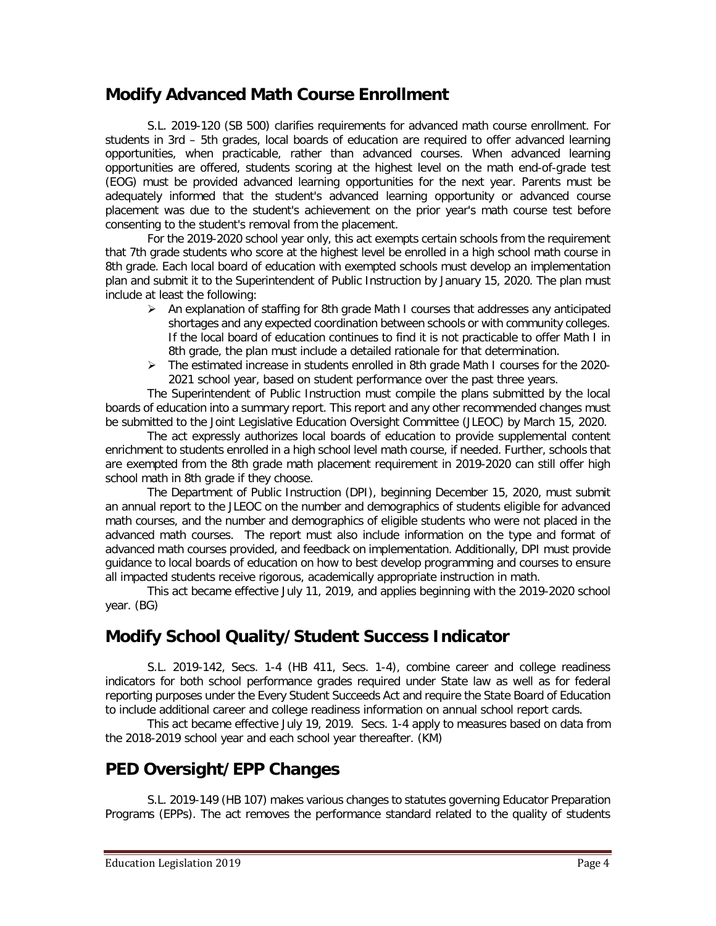### **Modify Advanced Math Course Enrollment**

S.L. 2019-120 (SB 500) clarifies requirements for advanced math course enrollment. For students in 3rd – 5th grades, local boards of education are required to offer advanced learning opportunities, when practicable, rather than advanced courses. When advanced learning opportunities are offered, students scoring at the highest level on the math end-of-grade test (EOG) must be provided advanced learning opportunities for the next year. Parents must be adequately informed that the student's advanced learning opportunity or advanced course placement was due to the student's achievement on the prior year's math course test before consenting to the student's removal from the placement.

For the 2019-2020 school year only, this act exempts certain schools from the requirement that 7th grade students who score at the highest level be enrolled in a high school math course in 8th grade. Each local board of education with exempted schools must develop an implementation plan and submit it to the Superintendent of Public Instruction by January 15, 2020. The plan must include at least the following:

- $\triangleright$  An explanation of staffing for 8th grade Math I courses that addresses any anticipated shortages and any expected coordination between schools or with community colleges. If the local board of education continues to find it is not practicable to offer Math I in 8th grade, the plan must include a detailed rationale for that determination.
- $\triangleright$  The estimated increase in students enrolled in 8th grade Math I courses for the 2020-2021 school year, based on student performance over the past three years.

The Superintendent of Public Instruction must compile the plans submitted by the local boards of education into a summary report. This report and any other recommended changes must be submitted to the Joint Legislative Education Oversight Committee (JLEOC) by March 15, 2020.

The act expressly authorizes local boards of education to provide supplemental content enrichment to students enrolled in a high school level math course, if needed. Further, schools that are exempted from the 8th grade math placement requirement in 2019-2020 can still offer high school math in 8th grade if they choose.

The Department of Public Instruction (DPI), beginning December 15, 2020, must submit an annual report to the JLEOC on the number and demographics of students eligible for advanced math courses, and the number and demographics of eligible students who were not placed in the advanced math courses. The report must also include information on the type and format of advanced math courses provided, and feedback on implementation. Additionally, DPI must provide guidance to local boards of education on how to best develop programming and courses to ensure all impacted students receive rigorous, academically appropriate instruction in math.

This act became effective July 11, 2019, and applies beginning with the 2019-2020 school year. (BG)

## **Modify School Quality/Student Success Indicator**

S.L. 2019-142, Secs. 1-4 (HB 411, Secs. 1-4), combine career and college readiness indicators for both school performance grades required under State law as well as for federal reporting purposes under the Every Student Succeeds Act and require the State Board of Education to include additional career and college readiness information on annual school report cards.

This act became effective July 19, 2019. Secs. 1-4 apply to measures based on data from the 2018-2019 school year and each school year thereafter. (KM)

## **PED Oversight/EPP Changes**

S.L. 2019-149 (HB 107) makes various changes to statutes governing Educator Preparation Programs (EPPs). The act removes the performance standard related to the quality of students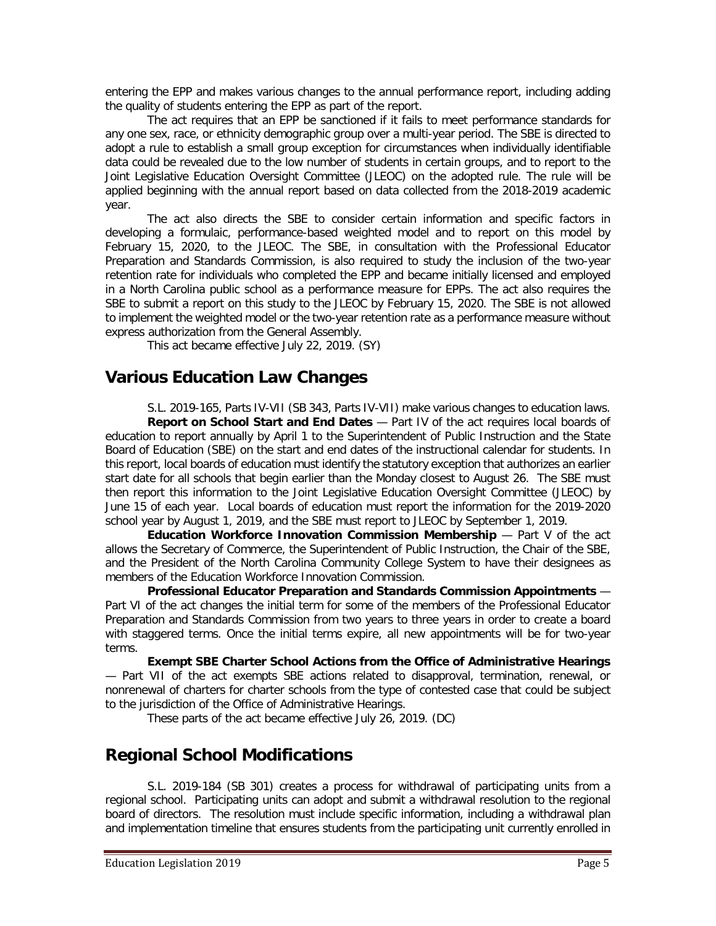entering the EPP and makes various changes to the annual performance report, including adding the quality of students entering the EPP as part of the report.

The act requires that an EPP be sanctioned if it fails to meet performance standards for any one sex, race, or ethnicity demographic group over a multi-year period. The SBE is directed to adopt a rule to establish a small group exception for circumstances when individually identifiable data could be revealed due to the low number of students in certain groups, and to report to the Joint Legislative Education Oversight Committee (JLEOC) on the adopted rule. The rule will be applied beginning with the annual report based on data collected from the 2018-2019 academic year.

The act also directs the SBE to consider certain information and specific factors in developing a formulaic, performance-based weighted model and to report on this model by February 15, 2020, to the JLEOC. The SBE, in consultation with the Professional Educator Preparation and Standards Commission, is also required to study the inclusion of the two-year retention rate for individuals who completed the EPP and became initially licensed and employed in a North Carolina public school as a performance measure for EPPs. The act also requires the SBE to submit a report on this study to the JLEOC by February 15, 2020. The SBE is not allowed to implement the weighted model or the two-year retention rate as a performance measure without express authorization from the General Assembly.

This act became effective July 22, 2019. (SY)

#### **Various Education Law Changes**

S.L. 2019-165, Parts IV-VII (SB 343, Parts IV-VII) make various changes to education laws. **Report on School Start and End Dates** — Part IV of the act requires local boards of education to report annually by April 1 to the Superintendent of Public Instruction and the State Board of Education (SBE) on the start and end dates of the instructional calendar for students. In this report, local boards of education must identify the statutory exception that authorizes an earlier start date for all schools that begin earlier than the Monday closest to August 26. The SBE must then report this information to the Joint Legislative Education Oversight Committee (JLEOC) by June 15 of each year. Local boards of education must report the information for the 2019-2020 school year by August 1, 2019, and the SBE must report to JLEOC by September 1, 2019.

**Education Workforce Innovation Commission Membership** - Part V of the act allows the Secretary of Commerce, the Superintendent of Public Instruction, the Chair of the SBE, and the President of the North Carolina Community College System to have their designees as members of the Education Workforce Innovation Commission.

**Professional Educator Preparation and Standards Commission Appointments** — Part VI of the act changes the initial term for some of the members of the Professional Educator Preparation and Standards Commission from two years to three years in order to create a board with staggered terms. Once the initial terms expire, all new appointments will be for two-year terms.

**Exempt SBE Charter School Actions from the Office of Administrative Hearings**  — Part VII of the act exempts SBE actions related to disapproval, termination, renewal, or nonrenewal of charters for charter schools from the type of contested case that could be subject to the jurisdiction of the Office of Administrative Hearings.

These parts of the act became effective July 26, 2019. (DC)

### **Regional School Modifications**

S.L. 2019-184 (SB 301) creates a process for withdrawal of participating units from a regional school. Participating units can adopt and submit a withdrawal resolution to the regional board of directors. The resolution must include specific information, including a withdrawal plan and implementation timeline that ensures students from the participating unit currently enrolled in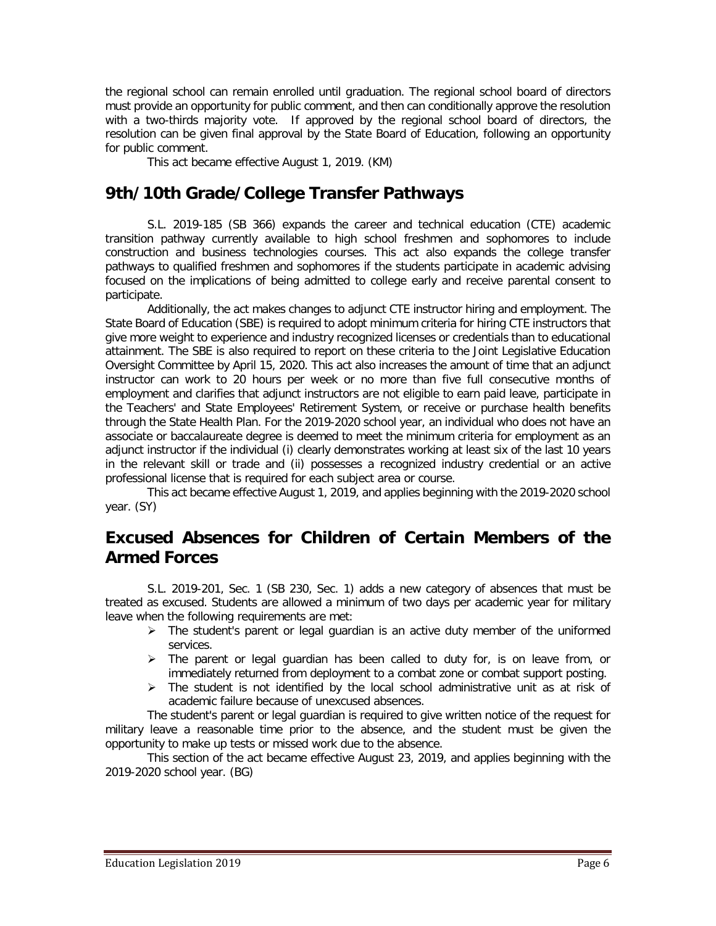the regional school can remain enrolled until graduation. The regional school board of directors must provide an opportunity for public comment, and then can conditionally approve the resolution with a two-thirds majority vote. If approved by the regional school board of directors, the resolution can be given final approval by the State Board of Education, following an opportunity for public comment.

This act became effective August 1, 2019. (KM)

### **9th/10th Grade/College Transfer Pathways**

S.L. 2019-185 (SB 366) expands the career and technical education (CTE) academic transition pathway currently available to high school freshmen and sophomores to include construction and business technologies courses. This act also expands the college transfer pathways to qualified freshmen and sophomores if the students participate in academic advising focused on the implications of being admitted to college early and receive parental consent to participate.

Additionally, the act makes changes to adjunct CTE instructor hiring and employment. The State Board of Education (SBE) is required to adopt minimum criteria for hiring CTE instructors that give more weight to experience and industry recognized licenses or credentials than to educational attainment. The SBE is also required to report on these criteria to the Joint Legislative Education Oversight Committee by April 15, 2020. This act also increases the amount of time that an adjunct instructor can work to 20 hours per week or no more than five full consecutive months of employment and clarifies that adjunct instructors are not eligible to earn paid leave, participate in the Teachers' and State Employees' Retirement System, or receive or purchase health benefits through the State Health Plan. For the 2019-2020 school year, an individual who does not have an associate or baccalaureate degree is deemed to meet the minimum criteria for employment as an adjunct instructor if the individual (i) clearly demonstrates working at least six of the last 10 years in the relevant skill or trade and (ii) possesses a recognized industry credential or an active professional license that is required for each subject area or course.

This act became effective August 1, 2019, and applies beginning with the 2019-2020 school year. (SY)

## **Excused Absences for Children of Certain Members of the Armed Forces**

S.L. 2019-201, Sec. 1 (SB 230, Sec. 1) adds a new category of absences that must be treated as excused. Students are allowed a minimum of two days per academic year for military leave when the following requirements are met:

- $\triangleright$  The student's parent or legal guardian is an active duty member of the uniformed services.
- $\triangleright$  The parent or legal guardian has been called to duty for, is on leave from, or immediately returned from deployment to a combat zone or combat support posting.
- $\triangleright$  The student is not identified by the local school administrative unit as at risk of academic failure because of unexcused absences.

The student's parent or legal guardian is required to give written notice of the request for military leave a reasonable time prior to the absence, and the student must be given the opportunity to make up tests or missed work due to the absence.

This section of the act became effective August 23, 2019, and applies beginning with the 2019-2020 school year. (BG)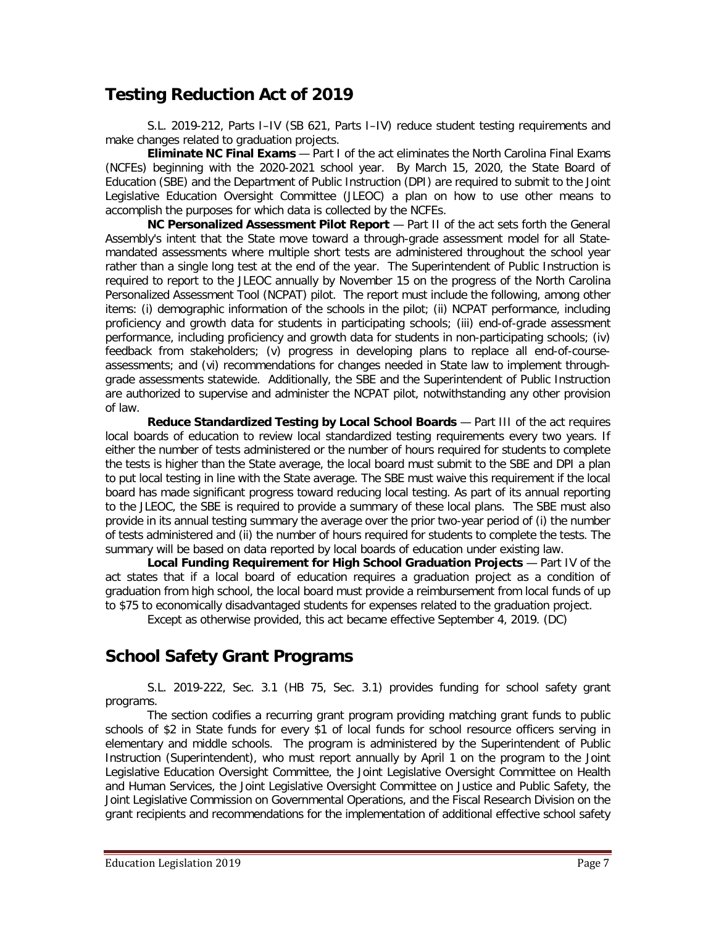## **Testing Reduction Act of 2019**

S.L. 2019-212, Parts I–IV (SB 621, Parts I–IV) reduce student testing requirements and make changes related to graduation projects.

**Eliminate NC Final Exams** — Part I of the act eliminates the North Carolina Final Exams (NCFEs) beginning with the 2020-2021 school year. By March 15, 2020, the State Board of Education (SBE) and the Department of Public Instruction (DPI) are required to submit to the Joint Legislative Education Oversight Committee (JLEOC) a plan on how to use other means to accomplish the purposes for which data is collected by the NCFEs.

**NC Personalized Assessment Pilot Report** — Part II of the act sets forth the General Assembly's intent that the State move toward a through-grade assessment model for all Statemandated assessments where multiple short tests are administered throughout the school year rather than a single long test at the end of the year. The Superintendent of Public Instruction is required to report to the JLEOC annually by November 15 on the progress of the North Carolina Personalized Assessment Tool (NCPAT) pilot. The report must include the following, among other items: (i) demographic information of the schools in the pilot; (ii) NCPAT performance, including proficiency and growth data for students in participating schools; (iii) end-of-grade assessment performance, including proficiency and growth data for students in non-participating schools; (iv) feedback from stakeholders; (v) progress in developing plans to replace all end-of-courseassessments; and (vi) recommendations for changes needed in State law to implement throughgrade assessments statewide. Additionally, the SBE and the Superintendent of Public Instruction are authorized to supervise and administer the NCPAT pilot, notwithstanding any other provision of law.

**Reduce Standardized Testing by Local School Boards** — Part III of the act requires local boards of education to review local standardized testing requirements every two years. If either the number of tests administered or the number of hours required for students to complete the tests is higher than the State average, the local board must submit to the SBE and DPI a plan to put local testing in line with the State average. The SBE must waive this requirement if the local board has made significant progress toward reducing local testing. As part of its annual reporting to the JLEOC, the SBE is required to provide a summary of these local plans. The SBE must also provide in its annual testing summary the average over the prior two-year period of (i) the number of tests administered and (ii) the number of hours required for students to complete the tests. The summary will be based on data reported by local boards of education under existing law.

**Local Funding Requirement for High School Graduation Projects** — Part IV of the act states that if a local board of education requires a graduation project as a condition of graduation from high school, the local board must provide a reimbursement from local funds of up to \$75 to economically disadvantaged students for expenses related to the graduation project.

Except as otherwise provided, this act became effective September 4, 2019. (DC)

## **School Safety Grant Programs**

S.L. 2019-222, Sec. 3.1 (HB 75, Sec. 3.1) provides funding for school safety grant programs.

The section codifies a recurring grant program providing matching grant funds to public schools of \$2 in State funds for every \$1 of local funds for school resource officers serving in elementary and middle schools. The program is administered by the Superintendent of Public Instruction (Superintendent), who must report annually by April 1 on the program to the Joint Legislative Education Oversight Committee, the Joint Legislative Oversight Committee on Health and Human Services, the Joint Legislative Oversight Committee on Justice and Public Safety, the Joint Legislative Commission on Governmental Operations, and the Fiscal Research Division on the grant recipients and recommendations for the implementation of additional effective school safety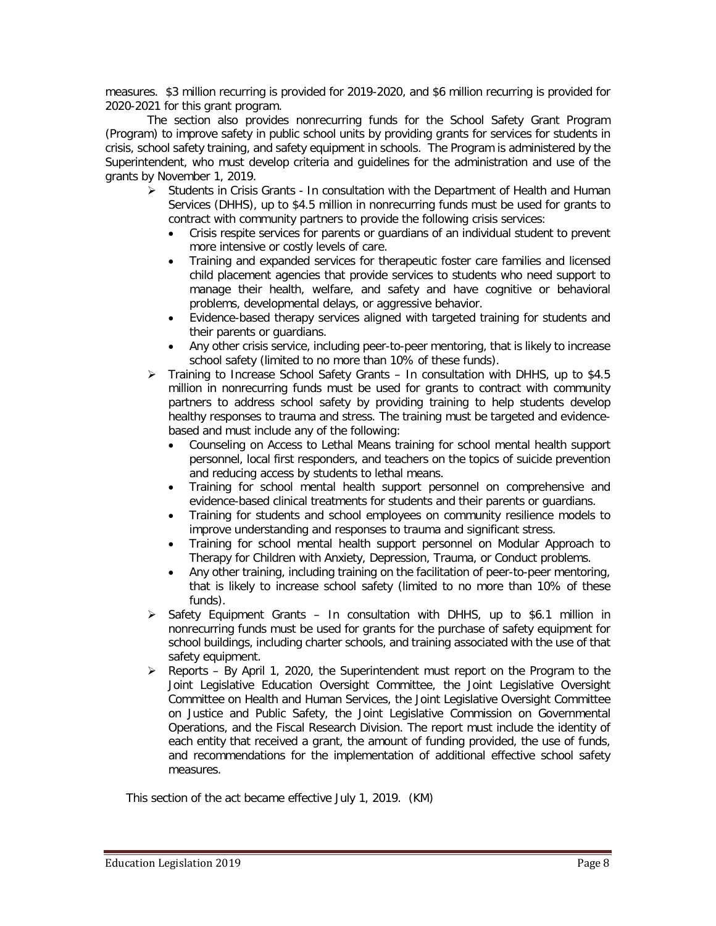measures. \$3 million recurring is provided for 2019-2020, and \$6 million recurring is provided for 2020-2021 for this grant program.

The section also provides nonrecurring funds for the School Safety Grant Program (Program) to improve safety in public school units by providing grants for services for students in crisis, school safety training, and safety equipment in schools. The Program is administered by the Superintendent, who must develop criteria and guidelines for the administration and use of the grants by November 1, 2019.

- $\triangleright$  Students in Crisis Grants In consultation with the Department of Health and Human Services (DHHS), up to \$4.5 million in nonrecurring funds must be used for grants to contract with community partners to provide the following crisis services:
	- Crisis respite services for parents or guardians of an individual student to prevent more intensive or costly levels of care.
	- Training and expanded services for therapeutic foster care families and licensed child placement agencies that provide services to students who need support to manage their health, welfare, and safety and have cognitive or behavioral problems, developmental delays, or aggressive behavior.
	- Evidence-based therapy services aligned with targeted training for students and their parents or guardians.
	- Any other crisis service, including peer-to-peer mentoring, that is likely to increase school safety (limited to no more than 10% of these funds).
- $\triangleright$  Training to Increase School Safety Grants In consultation with DHHS, up to \$4.5 million in nonrecurring funds must be used for grants to contract with community partners to address school safety by providing training to help students develop healthy responses to trauma and stress. The training must be targeted and evidencebased and must include any of the following:
	- Counseling on Access to Lethal Means training for school mental health support personnel, local first responders, and teachers on the topics of suicide prevention and reducing access by students to lethal means.
	- Training for school mental health support personnel on comprehensive and evidence-based clinical treatments for students and their parents or guardians.
	- Training for students and school employees on community resilience models to improve understanding and responses to trauma and significant stress.
	- Training for school mental health support personnel on Modular Approach to Therapy for Children with Anxiety, Depression, Trauma, or Conduct problems.
	- Any other training, including training on the facilitation of peer-to-peer mentoring, that is likely to increase school safety (limited to no more than 10% of these funds).
- $\triangleright$  Safety Equipment Grants In consultation with DHHS, up to \$6.1 million in nonrecurring funds must be used for grants for the purchase of safety equipment for school buildings, including charter schools, and training associated with the use of that safety equipment.
- $\triangleright$  Reports By April 1, 2020, the Superintendent must report on the Program to the Joint Legislative Education Oversight Committee, the Joint Legislative Oversight Committee on Health and Human Services, the Joint Legislative Oversight Committee on Justice and Public Safety, the Joint Legislative Commission on Governmental Operations, and the Fiscal Research Division. The report must include the identity of each entity that received a grant, the amount of funding provided, the use of funds, and recommendations for the implementation of additional effective school safety measures.

This section of the act became effective July 1, 2019. (KM)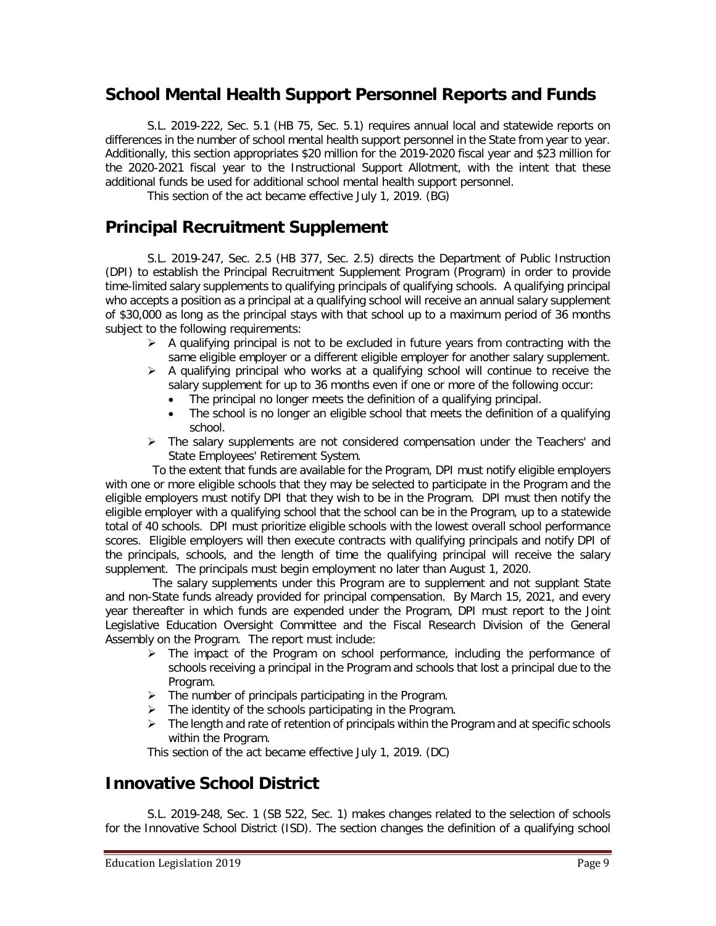### **School Mental Health Support Personnel Reports and Funds**

S.L. 2019-222, Sec. 5.1 (HB 75, Sec. 5.1) requires annual local and statewide reports on differences in the number of school mental health support personnel in the State from year to year. Additionally, this section appropriates \$20 million for the 2019-2020 fiscal year and \$23 million for the 2020-2021 fiscal year to the Instructional Support Allotment, with the intent that these additional funds be used for additional school mental health support personnel.

This section of the act became effective July 1, 2019. (BG)

#### **Principal Recruitment Supplement**

S.L. 2019-247, Sec. 2.5 (HB 377, Sec. 2.5) directs the Department of Public Instruction (DPI) to establish the Principal Recruitment Supplement Program (Program) in order to provide time-limited salary supplements to qualifying principals of qualifying schools. A qualifying principal who accepts a position as a principal at a qualifying school will receive an annual salary supplement of \$30,000 as long as the principal stays with that school up to a maximum period of 36 months subject to the following requirements:

- $\triangleright$  A qualifying principal is not to be excluded in future years from contracting with the same eligible employer or a different eligible employer for another salary supplement.
- $\triangleright$  A qualifying principal who works at a qualifying school will continue to receive the salary supplement for up to 36 months even if one or more of the following occur:
	- The principal no longer meets the definition of a qualifying principal.
	- The school is no longer an eligible school that meets the definition of a qualifying school.
- $\triangleright$  The salary supplements are not considered compensation under the Teachers' and State Employees' Retirement System.

To the extent that funds are available for the Program, DPI must notify eligible employers with one or more eligible schools that they may be selected to participate in the Program and the eligible employers must notify DPI that they wish to be in the Program. DPI must then notify the eligible employer with a qualifying school that the school can be in the Program, up to a statewide total of 40 schools. DPI must prioritize eligible schools with the lowest overall school performance scores. Eligible employers will then execute contracts with qualifying principals and notify DPI of the principals, schools, and the length of time the qualifying principal will receive the salary supplement. The principals must begin employment no later than August 1, 2020.

The salary supplements under this Program are to supplement and not supplant State and non-State funds already provided for principal compensation. By March 15, 2021, and every year thereafter in which funds are expended under the Program, DPI must report to the Joint Legislative Education Oversight Committee and the Fiscal Research Division of the General Assembly on the Program. The report must include:

- $\triangleright$  The impact of the Program on school performance, including the performance of schools receiving a principal in the Program and schools that lost a principal due to the Program.
- $\triangleright$  The number of principals participating in the Program.
- $\triangleright$  The identity of the schools participating in the Program.
- $\triangleright$  The length and rate of retention of principals within the Program and at specific schools within the Program.

This section of the act became effective July 1, 2019. (DC)

#### **Innovative School District**

S.L. 2019-248, Sec. 1 (SB 522, Sec. 1) makes changes related to the selection of schools for the Innovative School District (ISD). The section changes the definition of a qualifying school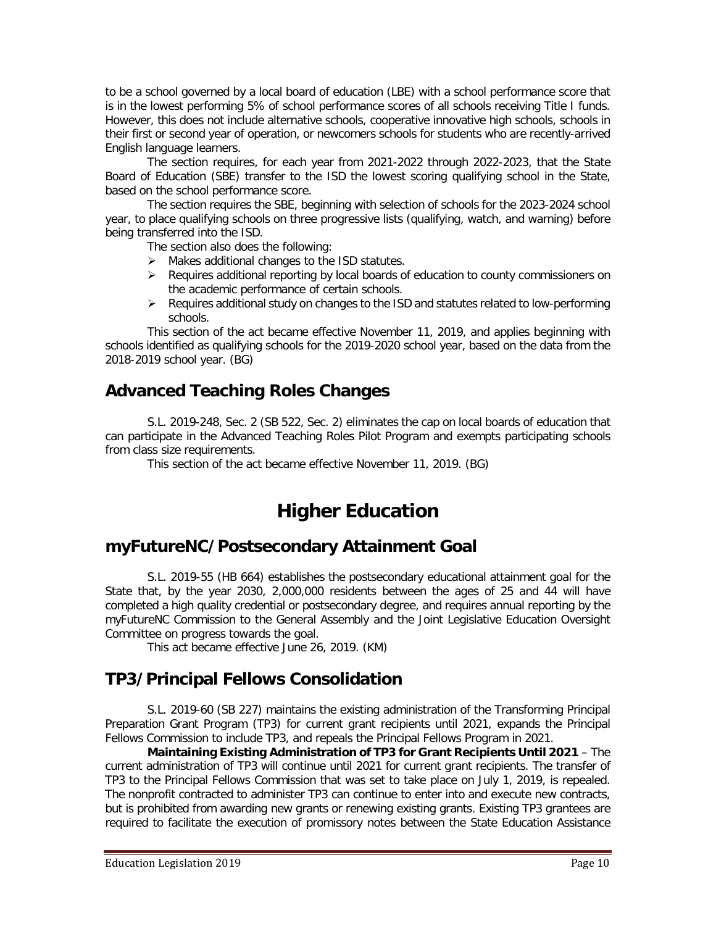to be a school governed by a local board of education (LBE) with a school performance score that is in the lowest performing 5% of school performance scores of all schools receiving Title I funds. However, this does not include alternative schools, cooperative innovative high schools, schools in their first or second year of operation, or newcomers schools for students who are recently-arrived English language learners.

The section requires, for each year from 2021-2022 through 2022-2023, that the State Board of Education (SBE) transfer to the ISD the lowest scoring qualifying school in the State, based on the school performance score.

The section requires the SBE, beginning with selection of schools for the 2023-2024 school year, to place qualifying schools on three progressive lists (qualifying, watch, and warning) before being transferred into the ISD.

The section also does the following:

- $\triangleright$  Makes additional changes to the ISD statutes.
- $\triangleright$  Requires additional reporting by local boards of education to county commissioners on the academic performance of certain schools.
- $\triangleright$  Requires additional study on changes to the ISD and statutes related to low-performing schools.

This section of the act became effective November 11, 2019, and applies beginning with schools identified as qualifying schools for the 2019-2020 school year, based on the data from the 2018-2019 school year. (BG)

## **Advanced Teaching Roles Changes**

S.L. 2019-248, Sec. 2 (SB 522, Sec. 2) eliminates the cap on local boards of education that can participate in the Advanced Teaching Roles Pilot Program and exempts participating schools from class size requirements.

This section of the act became effective November 11, 2019. (BG)

# **Higher Education**

#### **myFutureNC/Postsecondary Attainment Goal**

S.L. 2019-55 (HB 664) establishes the postsecondary educational attainment goal for the State that, by the year 2030, 2,000,000 residents between the ages of 25 and 44 will have completed a high quality credential or postsecondary degree, and requires annual reporting by the myFutureNC Commission to the General Assembly and the Joint Legislative Education Oversight Committee on progress towards the goal.

This act became effective June 26, 2019. (KM)

### **TP3/Principal Fellows Consolidation**

S.L. 2019-60 (SB 227) maintains the existing administration of the Transforming Principal Preparation Grant Program (TP3) for current grant recipients until 2021, expands the Principal Fellows Commission to include TP3, and repeals the Principal Fellows Program in 2021.

**Maintaining Existing Administration of TP3 for Grant Recipients Until 2021** – The current administration of TP3 will continue until 2021 for current grant recipients. The transfer of TP3 to the Principal Fellows Commission that was set to take place on July 1, 2019, is repealed. The nonprofit contracted to administer TP3 can continue to enter into and execute new contracts, but is prohibited from awarding new grants or renewing existing grants. Existing TP3 grantees are required to facilitate the execution of promissory notes between the State Education Assistance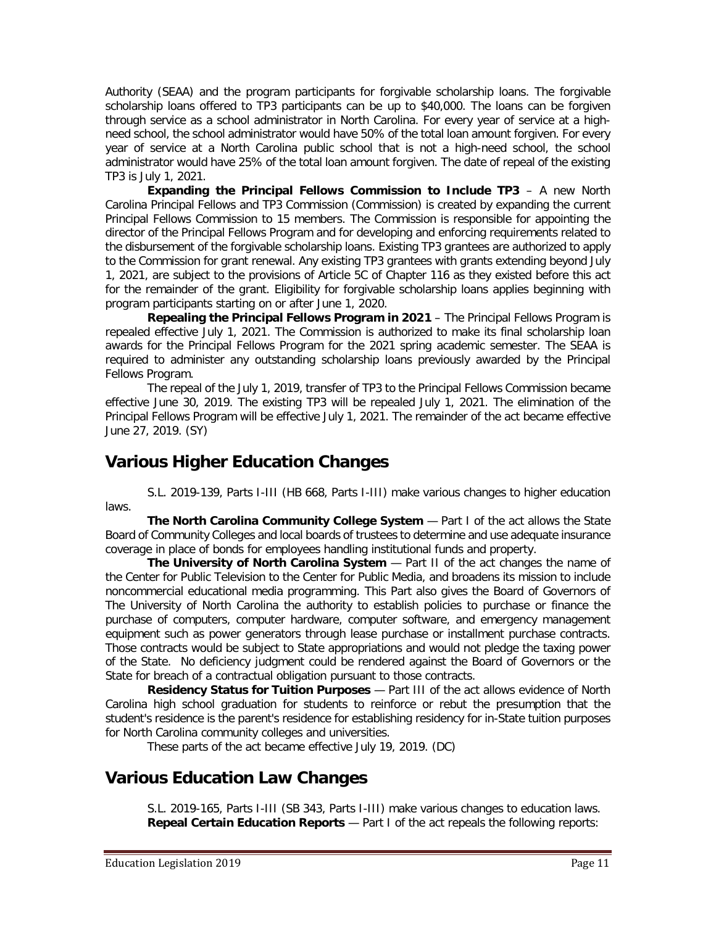Authority (SEAA) and the program participants for forgivable scholarship loans. The forgivable scholarship loans offered to TP3 participants can be up to \$40,000. The loans can be forgiven through service as a school administrator in North Carolina. For every year of service at a highneed school, the school administrator would have 50% of the total loan amount forgiven. For every year of service at a North Carolina public school that is not a high-need school, the school administrator would have 25% of the total loan amount forgiven. The date of repeal of the existing TP3 is July 1, 2021.

**Expanding the Principal Fellows Commission to Include TP3** – A new North Carolina Principal Fellows and TP3 Commission (Commission) is created by expanding the current Principal Fellows Commission to 15 members. The Commission is responsible for appointing the director of the Principal Fellows Program and for developing and enforcing requirements related to the disbursement of the forgivable scholarship loans. Existing TP3 grantees are authorized to apply to the Commission for grant renewal. Any existing TP3 grantees with grants extending beyond July 1, 2021, are subject to the provisions of Article 5C of Chapter 116 as they existed before this act for the remainder of the grant. Eligibility for forgivable scholarship loans applies beginning with program participants starting on or after June 1, 2020.

**Repealing the Principal Fellows Program in 2021** – The Principal Fellows Program is repealed effective July 1, 2021. The Commission is authorized to make its final scholarship loan awards for the Principal Fellows Program for the 2021 spring academic semester. The SEAA is required to administer any outstanding scholarship loans previously awarded by the Principal Fellows Program.

The repeal of the July 1, 2019, transfer of TP3 to the Principal Fellows Commission became effective June 30, 2019. The existing TP3 will be repealed July 1, 2021. The elimination of the Principal Fellows Program will be effective July 1, 2021. The remainder of the act became effective June 27, 2019. (SY)

## **Various Higher Education Changes**

S.L. 2019-139, Parts I-III (HB 668, Parts I-III) make various changes to higher education laws.

**The North Carolina Community College System** — Part I of the act allows the State Board of Community Colleges and local boards of trustees to determine and use adequate insurance coverage in place of bonds for employees handling institutional funds and property.

**The University of North Carolina System** — Part II of the act changes the name of the Center for Public Television to the Center for Public Media, and broadens its mission to include noncommercial educational media programming. This Part also gives the Board of Governors of The University of North Carolina the authority to establish policies to purchase or finance the purchase of computers, computer hardware, computer software, and emergency management equipment such as power generators through lease purchase or installment purchase contracts. Those contracts would be subject to State appropriations and would not pledge the taxing power of the State. No deficiency judgment could be rendered against the Board of Governors or the State for breach of a contractual obligation pursuant to those contracts.

**Residency Status for Tuition Purposes** — Part III of the act allows evidence of North Carolina high school graduation for students to reinforce or rebut the presumption that the student's residence is the parent's residence for establishing residency for in-State tuition purposes for North Carolina community colleges and universities.

These parts of the act became effective July 19, 2019. (DC)

### **Various Education Law Changes**

S.L. 2019-165, Parts I-III (SB 343, Parts I-III) make various changes to education laws. **Repeal Certain Education Reports** — Part I of the act repeals the following reports: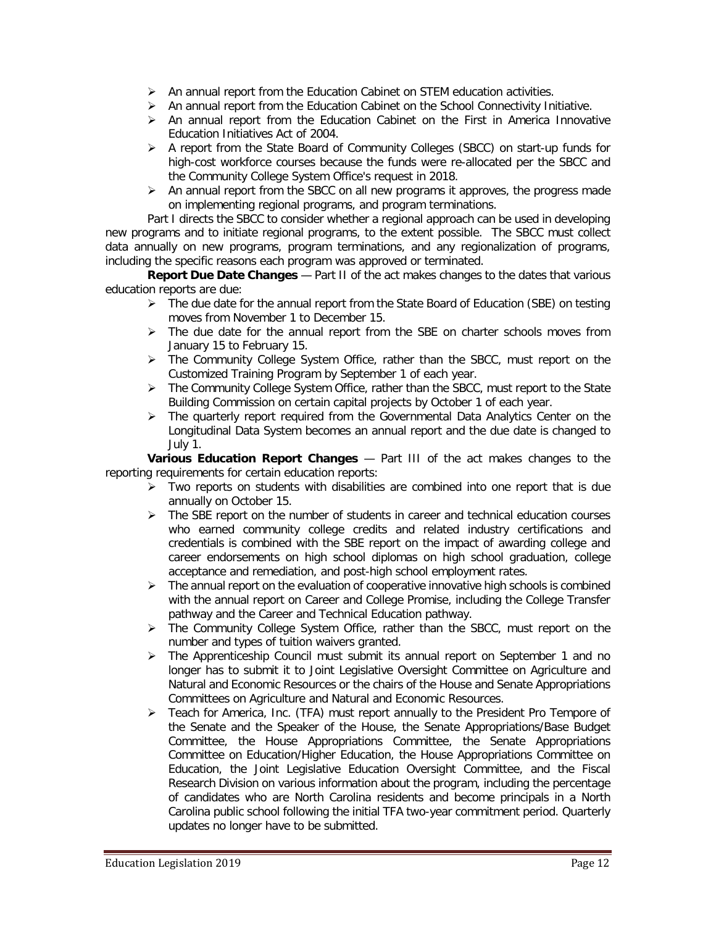- $\triangleright$  An annual report from the Education Cabinet on STEM education activities.
- An annual report from the Education Cabinet on the School Connectivity Initiative.
- $\triangleright$  An annual report from the Education Cabinet on the First in America Innovative Education Initiatives Act of 2004.
- $\triangleright$  A report from the State Board of Community Colleges (SBCC) on start-up funds for high-cost workforce courses because the funds were re-allocated per the SBCC and the Community College System Office's request in 2018.
- $\triangleright$  An annual report from the SBCC on all new programs it approves, the progress made on implementing regional programs, and program terminations.

Part I directs the SBCC to consider whether a regional approach can be used in developing new programs and to initiate regional programs, to the extent possible. The SBCC must collect data annually on new programs, program terminations, and any regionalization of programs, including the specific reasons each program was approved or terminated.

**Report Due Date Changes** — Part II of the act makes changes to the dates that various education reports are due:

- $\triangleright$  The due date for the annual report from the State Board of Education (SBE) on testing moves from November 1 to December 15.
- $\triangleright$  The due date for the annual report from the SBE on charter schools moves from January 15 to February 15.
- The Community College System Office, rather than the SBCC, must report on the Customized Training Program by September 1 of each year.
- $\triangleright$  The Community College System Office, rather than the SBCC, must report to the State Building Commission on certain capital projects by October 1 of each year.
- $\triangleright$  The quarterly report required from the Governmental Data Analytics Center on the Longitudinal Data System becomes an annual report and the due date is changed to July 1.

**Various Education Report Changes** — Part III of the act makes changes to the reporting requirements for certain education reports:

- $\triangleright$  Two reports on students with disabilities are combined into one report that is due annually on October 15.
- $\triangleright$  The SBE report on the number of students in career and technical education courses who earned community college credits and related industry certifications and credentials is combined with the SBE report on the impact of awarding college and career endorsements on high school diplomas on high school graduation, college acceptance and remediation, and post-high school employment rates.
- $\triangleright$  The annual report on the evaluation of cooperative innovative high schools is combined with the annual report on Career and College Promise, including the College Transfer pathway and the Career and Technical Education pathway.
- $\triangleright$  The Community College System Office, rather than the SBCC, must report on the number and types of tuition waivers granted.
- The Apprenticeship Council must submit its annual report on September 1 and no longer has to submit it to Joint Legislative Oversight Committee on Agriculture and Natural and Economic Resources or the chairs of the House and Senate Appropriations Committees on Agriculture and Natural and Economic Resources.
- $\triangleright$  Teach for America, Inc. (TFA) must report annually to the President Pro Tempore of the Senate and the Speaker of the House, the Senate Appropriations/Base Budget Committee, the House Appropriations Committee, the Senate Appropriations Committee on Education/Higher Education, the House Appropriations Committee on Education, the Joint Legislative Education Oversight Committee, and the Fiscal Research Division on various information about the program, including the percentage of candidates who are North Carolina residents and become principals in a North Carolina public school following the initial TFA two-year commitment period. Quarterly updates no longer have to be submitted.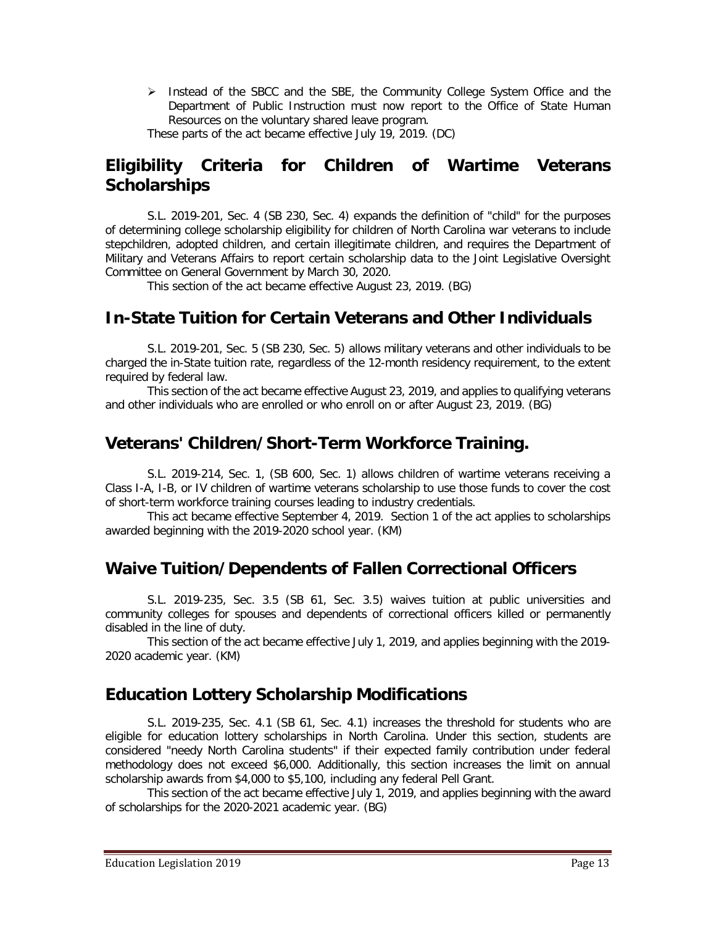Instead of the SBCC and the SBE, the Community College System Office and the Department of Public Instruction must now report to the Office of State Human Resources on the voluntary shared leave program.

These parts of the act became effective July 19, 2019. (DC)

## **Eligibility Criteria for Children of Wartime Veterans Scholarships**

S.L. 2019-201, Sec. 4 (SB 230, Sec. 4) expands the definition of "child" for the purposes of determining college scholarship eligibility for children of North Carolina war veterans to include stepchildren, adopted children, and certain illegitimate children, and requires the Department of Military and Veterans Affairs to report certain scholarship data to the Joint Legislative Oversight Committee on General Government by March 30, 2020.

This section of the act became effective August 23, 2019. (BG)

## **In-State Tuition for Certain Veterans and Other Individuals**

S.L. 2019-201, Sec. 5 (SB 230, Sec. 5) allows military veterans and other individuals to be charged the in-State tuition rate, regardless of the 12-month residency requirement, to the extent required by federal law.

This section of the act became effective August 23, 2019, and applies to qualifying veterans and other individuals who are enrolled or who enroll on or after August 23, 2019. (BG)

## **Veterans' Children/Short-Term Workforce Training.**

S.L. 2019-214, Sec. 1, (SB 600, Sec. 1) allows children of wartime veterans receiving a Class I-A, I-B, or IV children of wartime veterans scholarship to use those funds to cover the cost of short-term workforce training courses leading to industry credentials.

This act became effective September 4, 2019. Section 1 of the act applies to scholarships awarded beginning with the 2019-2020 school year. (KM)

### **Waive Tuition/Dependents of Fallen Correctional Officers**

S.L. 2019-235, Sec. 3.5 (SB 61, Sec. 3.5) waives tuition at public universities and community colleges for spouses and dependents of correctional officers killed or permanently disabled in the line of duty.

This section of the act became effective July 1, 2019, and applies beginning with the 2019- 2020 academic year. (KM)

### **Education Lottery Scholarship Modifications**

S.L. 2019-235, Sec. 4.1 (SB 61, Sec. 4.1) increases the threshold for students who are eligible for education lottery scholarships in North Carolina. Under this section, students are considered "needy North Carolina students" if their expected family contribution under federal methodology does not exceed \$6,000. Additionally, this section increases the limit on annual scholarship awards from \$4,000 to \$5,100, including any federal Pell Grant.

This section of the act became effective July 1, 2019, and applies beginning with the award of scholarships for the 2020-2021 academic year. (BG)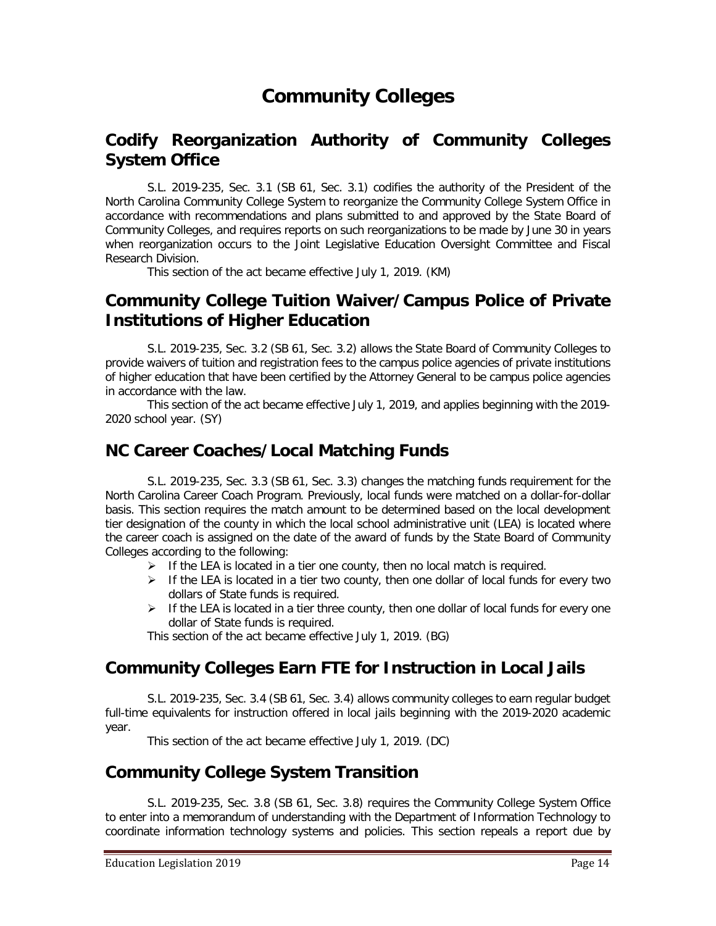# **Community Colleges**

### **Codify Reorganization Authority of Community Colleges System Office**

S.L. 2019-235, Sec. 3.1 (SB 61, Sec. 3.1) codifies the authority of the President of the North Carolina Community College System to reorganize the Community College System Office in accordance with recommendations and plans submitted to and approved by the State Board of Community Colleges, and requires reports on such reorganizations to be made by June 30 in years when reorganization occurs to the Joint Legislative Education Oversight Committee and Fiscal Research Division.

This section of the act became effective July 1, 2019. (KM)

#### **Community College Tuition Waiver/Campus Police of Private Institutions of Higher Education**

S.L. 2019-235, Sec. 3.2 (SB 61, Sec. 3.2) allows the State Board of Community Colleges to provide waivers of tuition and registration fees to the campus police agencies of private institutions of higher education that have been certified by the Attorney General to be campus police agencies in accordance with the law.

This section of the act became effective July 1, 2019, and applies beginning with the 2019- 2020 school year. (SY)

#### **NC Career Coaches/Local Matching Funds**

S.L. 2019-235, Sec. 3.3 (SB 61, Sec. 3.3) changes the matching funds requirement for the North Carolina Career Coach Program. Previously, local funds were matched on a dollar-for-dollar basis. This section requires the match amount to be determined based on the local development tier designation of the county in which the local school administrative unit (LEA) is located where the career coach is assigned on the date of the award of funds by the State Board of Community Colleges according to the following:

- $\triangleright$  If the LEA is located in a tier one county, then no local match is required.
- $\triangleright$  If the LEA is located in a tier two county, then one dollar of local funds for every two dollars of State funds is required.
- $\triangleright$  If the LEA is located in a tier three county, then one dollar of local funds for every one dollar of State funds is required.

This section of the act became effective July 1, 2019. (BG)

### **Community Colleges Earn FTE for Instruction in Local Jails**

S.L. 2019-235, Sec. 3.4 (SB 61, Sec. 3.4) allows community colleges to earn regular budget full-time equivalents for instruction offered in local jails beginning with the 2019-2020 academic year.

This section of the act became effective July 1, 2019. (DC)

### **Community College System Transition**

S.L. 2019-235, Sec. 3.8 (SB 61, Sec. 3.8) requires the Community College System Office to enter into a memorandum of understanding with the Department of Information Technology to coordinate information technology systems and policies. This section repeals a report due by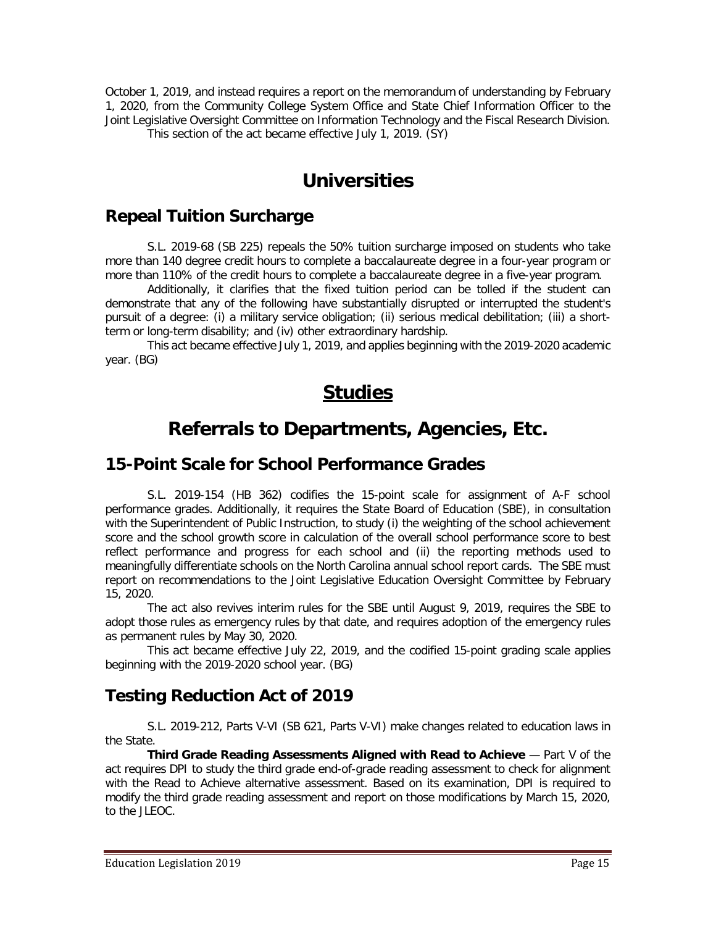October 1, 2019, and instead requires a report on the memorandum of understanding by February 1, 2020, from the Community College System Office and State Chief Information Officer to the Joint Legislative Oversight Committee on Information Technology and the Fiscal Research Division. This section of the act became effective July 1, 2019. (SY)

# **Universities**

## **Repeal Tuition Surcharge**

S.L. 2019-68 (SB 225) repeals the 50% tuition surcharge imposed on students who take more than 140 degree credit hours to complete a baccalaureate degree in a four-year program or more than 110% of the credit hours to complete a baccalaureate degree in a five-year program.

Additionally, it clarifies that the fixed tuition period can be tolled if the student can demonstrate that any of the following have substantially disrupted or interrupted the student's pursuit of a degree: (i) a military service obligation; (ii) serious medical debilitation; (iii) a shortterm or long-term disability; and (iv) other extraordinary hardship.

This act became effective July 1, 2019, and applies beginning with the 2019-2020 academic year. (BG)

# **Studies**

# **Referrals to Departments, Agencies, Etc.**

### **15-Point Scale for School Performance Grades**

S.L. 2019-154 (HB 362) codifies the 15-point scale for assignment of A-F school performance grades. Additionally, it requires the State Board of Education (SBE), in consultation with the Superintendent of Public Instruction, to study (i) the weighting of the school achievement score and the school growth score in calculation of the overall school performance score to best reflect performance and progress for each school and (ii) the reporting methods used to meaningfully differentiate schools on the North Carolina annual school report cards. The SBE must report on recommendations to the Joint Legislative Education Oversight Committee by February 15, 2020.

The act also revives interim rules for the SBE until August 9, 2019, requires the SBE to adopt those rules as emergency rules by that date, and requires adoption of the emergency rules as permanent rules by May 30, 2020.

This act became effective July 22, 2019, and the codified 15-point grading scale applies beginning with the 2019-2020 school year. (BG)

## **Testing Reduction Act of 2019**

S.L. 2019-212, Parts V-VI (SB 621, Parts V-VI) make changes related to education laws in the State.

**Third Grade Reading Assessments Aligned with Read to Achieve — Part V of the** act requires DPI to study the third grade end-of-grade reading assessment to check for alignment with the Read to Achieve alternative assessment. Based on its examination, DPI is required to modify the third grade reading assessment and report on those modifications by March 15, 2020, to the JLEOC.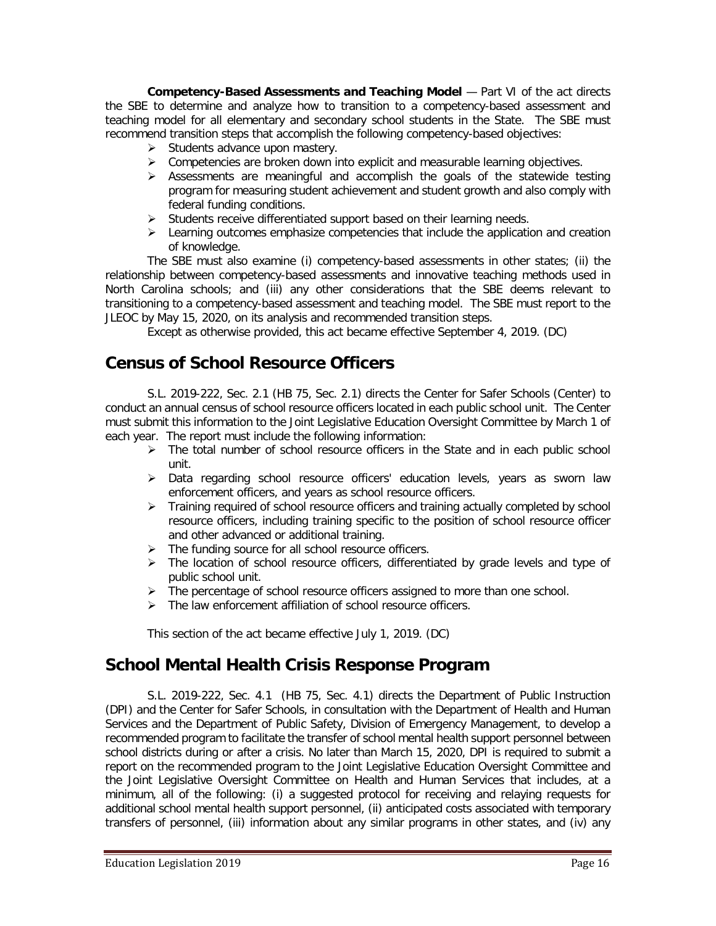**Competency-Based Assessments and Teaching Model** — Part VI of the act directs the SBE to determine and analyze how to transition to a competency-based assessment and teaching model for all elementary and secondary school students in the State. The SBE must recommend transition steps that accomplish the following competency-based objectives:

- $\triangleright$  Students advance upon mastery.
- $\triangleright$  Competencies are broken down into explicit and measurable learning objectives.
- $\triangleright$  Assessments are meaningful and accomplish the goals of the statewide testing program for measuring student achievement and student growth and also comply with federal funding conditions.
- $\triangleright$  Students receive differentiated support based on their learning needs.
- $\triangleright$  Learning outcomes emphasize competencies that include the application and creation of knowledge.

The SBE must also examine (i) competency-based assessments in other states; (ii) the relationship between competency-based assessments and innovative teaching methods used in North Carolina schools; and (iii) any other considerations that the SBE deems relevant to transitioning to a competency-based assessment and teaching model. The SBE must report to the JLEOC by May 15, 2020, on its analysis and recommended transition steps.

Except as otherwise provided, this act became effective September 4, 2019. (DC)

## **Census of School Resource Officers**

S.L. 2019-222, Sec. 2.1 (HB 75, Sec. 2.1) directs the Center for Safer Schools (Center) to conduct an annual census of school resource officers located in each public school unit. The Center must submit this information to the Joint Legislative Education Oversight Committee by March 1 of each year. The report must include the following information:

- $\triangleright$  The total number of school resource officers in the State and in each public school unit.
- Data regarding school resource officers' education levels, years as sworn law enforcement officers, and years as school resource officers.
- $\triangleright$  Training required of school resource officers and training actually completed by school resource officers, including training specific to the position of school resource officer and other advanced or additional training.
- > The funding source for all school resource officers.
- > The location of school resource officers, differentiated by grade levels and type of public school unit.
- The percentage of school resource officers assigned to more than one school.
- $\triangleright$  The law enforcement affiliation of school resource officers.

This section of the act became effective July 1, 2019. (DC)

### **School Mental Health Crisis Response Program**

S.L. 2019-222, Sec. 4.1 (HB 75, Sec. 4.1) directs the Department of Public Instruction (DPI) and the Center for Safer Schools, in consultation with the Department of Health and Human Services and the Department of Public Safety, Division of Emergency Management, to develop a recommended program to facilitate the transfer of school mental health support personnel between school districts during or after a crisis. No later than March 15, 2020, DPI is required to submit a report on the recommended program to the Joint Legislative Education Oversight Committee and the Joint Legislative Oversight Committee on Health and Human Services that includes, at a minimum, all of the following: (i) a suggested protocol for receiving and relaying requests for additional school mental health support personnel, (ii) anticipated costs associated with temporary transfers of personnel, (iii) information about any similar programs in other states, and (iv) any